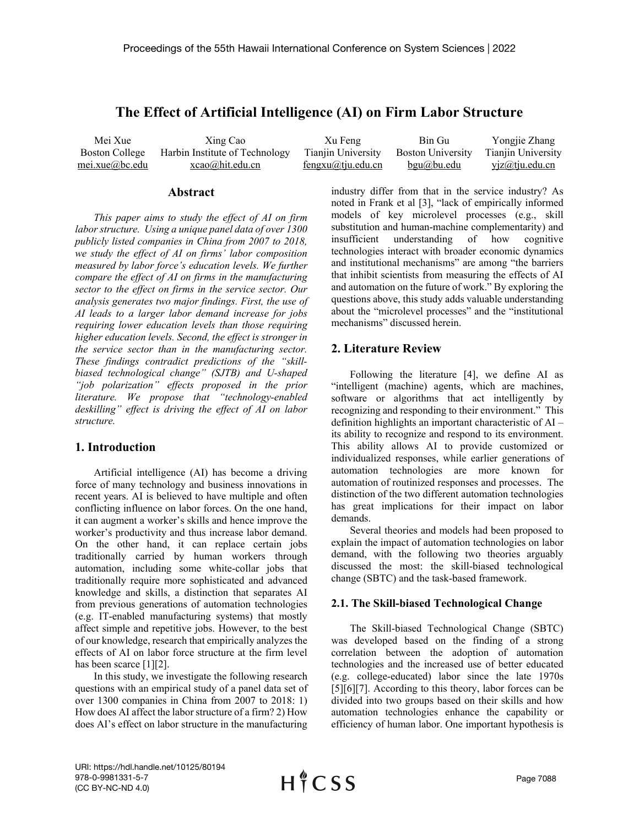# **The Effect of Artificial Intelligence (AI) on Firm Labor Structure**

Mei Xue Boston College mei.xue@bc.edu Xing Cao Harbin Institute of Technology xcao@hit.edu.cn Xu Feng Tianjin University fengxu@tju.edu.cn Bin Gu Boston University bgu@bu.edu Yongjie Zhang Tianjin University yjz@tju.edu.cn

#### **Abstract**

*This paper aims to study the effect of AI on firm labor structure. Using a unique panel data of over 1300 publicly listed companies in China from 2007 to 2018, we study the effect of AI on firms' labor composition measured by labor force's education levels. We further compare the effect of AI on firms in the manufacturing sector to the effect on firms in the service sector. Our analysis generates two major findings. First, the use of AI leads to a larger labor demand increase for jobs requiring lower education levels than those requiring higher education levels. Second, the effect is stronger in the service sector than in the manufacturing sector. These findings contradict predictions of the "skillbiased technological change" (SJTB) and U-shaped "job polarization" effects proposed in the prior literature. We propose that "technology-enabled deskilling" effect is driving the effect of AI on labor structure.*

# **1. Introduction**

Artificial intelligence (AI) has become a driving force of many technology and business innovations in recent years. AI is believed to have multiple and often conflicting influence on labor forces. On the one hand, it can augment a worker's skills and hence improve the worker's productivity and thus increase labor demand. On the other hand, it can replace certain jobs traditionally carried by human workers through automation, including some white-collar jobs that traditionally require more sophisticated and advanced knowledge and skills, a distinction that separates AI from previous generations of automation technologies (e.g. IT-enabled manufacturing systems) that mostly affect simple and repetitive jobs. However, to the best of our knowledge, research that empirically analyzes the effects of AI on labor force structure at the firm level has been scarce [1][2].

In this study, we investigate the following research questions with an empirical study of a panel data set of over 1300 companies in China from 2007 to 2018: 1) How does AI affect the labor structure of a firm? 2) How does AI's effect on labor structure in the manufacturing

industry differ from that in the service industry? As noted in Frank et al [3], "lack of empirically informed models of key microlevel processes (e.g., skill substitution and human-machine complementarity) and insufficient understanding of how cognitive technologies interact with broader economic dynamics and institutional mechanisms" are among "the barriers that inhibit scientists from measuring the effects of AI and automation on the future of work." By exploring the questions above, this study adds valuable understanding about the "microlevel processes" and the "institutional mechanisms" discussed herein.

## **2. Literature Review**

Following the literature [4], we define AI as "intelligent (machine) agents, which are machines, software or algorithms that act intelligently by recognizing and responding to their environment." This definition highlights an important characteristic of AI – its ability to recognize and respond to its environment. This ability allows AI to provide customized or individualized responses, while earlier generations of automation technologies are more known for automation of routinized responses and processes. The distinction of the two different automation technologies has great implications for their impact on labor demands.

Several theories and models had been proposed to explain the impact of automation technologies on labor demand, with the following two theories arguably discussed the most: the skill-biased technological change (SBTC) and the task-based framework.

### **2.1. The Skill-biased Technological Change**

The Skill-biased Technological Change (SBTC) was developed based on the finding of a strong correlation between the adoption of automation technologies and the increased use of better educated (e.g. college-educated) labor since the late 1970s [5][6][7]. According to this theory, labor forces can be divided into two groups based on their skills and how automation technologies enhance the capability or efficiency of human labor. One important hypothesis is

URI: https://hdl.handle.net/10125/80194 978-0-9981331-5-7 (CC BY-NC-ND 4.0)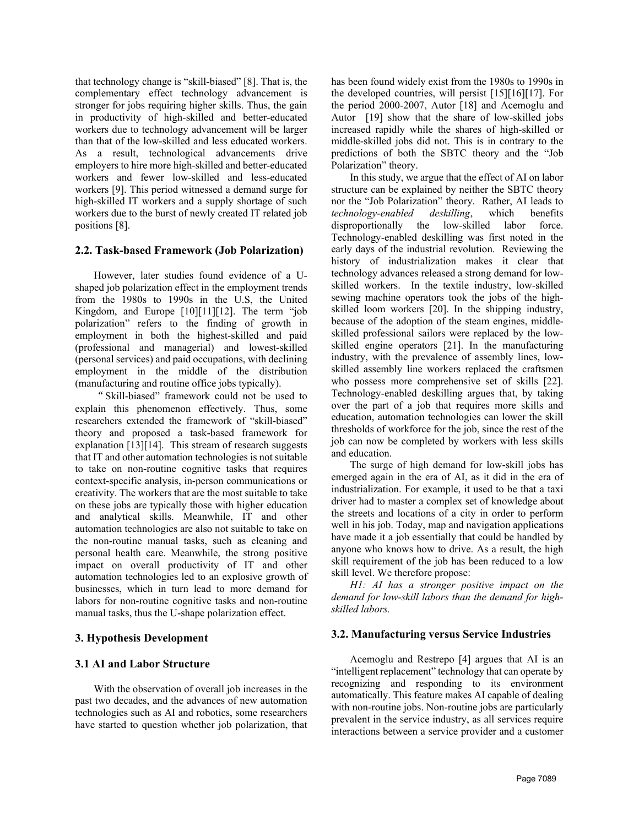that technology change is "skill-biased" [8]. That is, the complementary effect technology advancement is stronger for jobs requiring higher skills. Thus, the gain in productivity of high-skilled and better-educated workers due to technology advancement will be larger than that of the low-skilled and less educated workers. As a result, technological advancements drive employers to hire more high-skilled and better-educated workers and fewer low-skilled and less-educated workers [9]. This period witnessed a demand surge for high-skilled IT workers and a supply shortage of such workers due to the burst of newly created IT related job positions [8].

#### **2.2. Task-based Framework (Job Polarization)**

However, later studies found evidence of a Ushaped job polarization effect in the employment trends from the 1980s to 1990s in the U.S, the United Kingdom, and Europe [10][11][12]. The term "job polarization" refers to the finding of growth in employment in both the highest-skilled and paid (professional and managerial) and lowest-skilled (personal services) and paid occupations, with declining employment in the middle of the distribution (manufacturing and routine office jobs typically).

"Skill-biased" framework could not be used to explain this phenomenon effectively. Thus, some researchers extended the framework of "skill-biased" theory and proposed a task-based framework for explanation [13][14]. This stream of research suggests that IT and other automation technologies is not suitable to take on non-routine cognitive tasks that requires context-specific analysis, in-person communications or creativity. The workers that are the most suitable to take on these jobs are typically those with higher education and analytical skills. Meanwhile, IT and other automation technologies are also not suitable to take on the non-routine manual tasks, such as cleaning and personal health care. Meanwhile, the strong positive impact on overall productivity of IT and other automation technologies led to an explosive growth of businesses, which in turn lead to more demand for labors for non-routine cognitive tasks and non-routine manual tasks, thus the U-shape polarization effect.

#### **3. Hypothesis Development**

#### **3.1 AI and Labor Structure**

With the observation of overall job increases in the past two decades, and the advances of new automation technologies such as AI and robotics, some researchers have started to question whether job polarization, that has been found widely exist from the 1980s to 1990s in the developed countries, will persist [15][16][17]. For the period 2000-2007, Autor [18] and Acemoglu and Autor [19] show that the share of low-skilled jobs increased rapidly while the shares of high-skilled or middle-skilled jobs did not. This is in contrary to the predictions of both the SBTC theory and the "Job Polarization" theory.

In this study, we argue that the effect of AI on labor structure can be explained by neither the SBTC theory nor the "Job Polarization" theory. Rather, AI leads to technology-enabled deskilling, which benefits *technology-enabled deskilling*, which benefits disproportionally the low-skilled labor force. Technology-enabled deskilling was first noted in the early days of the industrial revolution. Reviewing the history of industrialization makes it clear that technology advances released a strong demand for lowskilled workers. In the textile industry, low-skilled sewing machine operators took the jobs of the highskilled loom workers [20]. In the shipping industry, because of the adoption of the steam engines, middleskilled professional sailors were replaced by the lowskilled engine operators [21]. In the manufacturing industry, with the prevalence of assembly lines, lowskilled assembly line workers replaced the craftsmen who possess more comprehensive set of skills [22]. Technology-enabled deskilling argues that, by taking over the part of a job that requires more skills and education, automation technologies can lower the skill thresholds of workforce for the job, since the rest of the job can now be completed by workers with less skills and education.

The surge of high demand for low-skill jobs has emerged again in the era of AI, as it did in the era of industrialization. For example, it used to be that a taxi driver had to master a complex set of knowledge about the streets and locations of a city in order to perform well in his job. Today, map and navigation applications have made it a job essentially that could be handled by anyone who knows how to drive. As a result, the high skill requirement of the job has been reduced to a low skill level. We therefore propose:

*H1: AI has a stronger positive impact on the demand for low-skill labors than the demand for highskilled labors.* 

#### **3.2. Manufacturing versus Service Industries**

Acemoglu and Restrepo [4] argues that AI is an "intelligent replacement" technology that can operate by recognizing and responding to its environment automatically. This feature makes AI capable of dealing with non-routine jobs. Non-routine jobs are particularly prevalent in the service industry, as all services require interactions between a service provider and a customer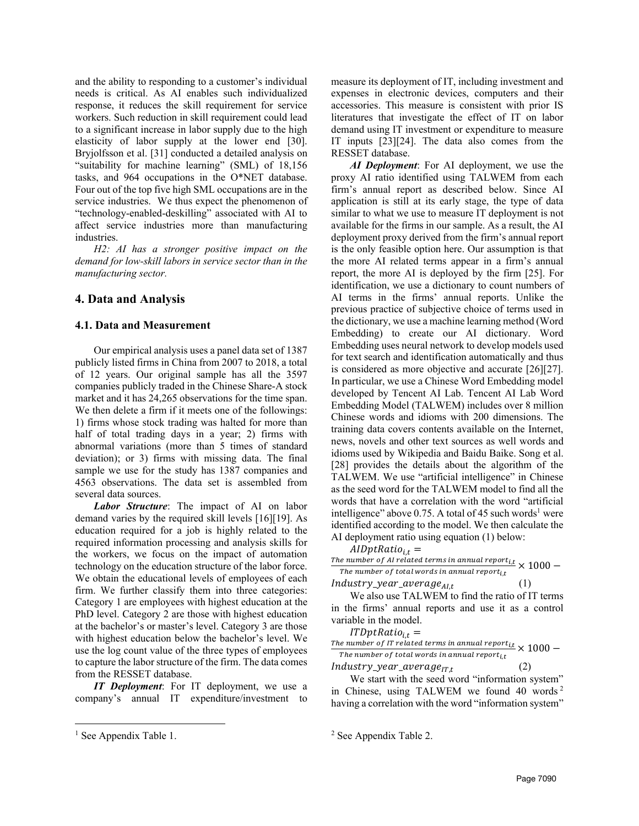and the ability to responding to a customer's individual needs is critical. As AI enables such individualized response, it reduces the skill requirement for service workers. Such reduction in skill requirement could lead to a significant increase in labor supply due to the high elasticity of labor supply at the lower end [30]. Bryjolfsson et al. [31] conducted a detailed analysis on "suitability for machine learning" (SML) of 18,156 tasks, and 964 occupations in the O\*NET database. Four out of the top five high SML occupations are in the service industries. We thus expect the phenomenon of "technology-enabled-deskilling" associated with AI to affect service industries more than manufacturing industries.

*H2: AI has a stronger positive impact on the demand for low-skill labors in service sector than in the manufacturing sector.* 

# **4. Data and Analysis**

#### **4.1. Data and Measurement**

Our empirical analysis uses a panel data set of 1387 publicly listed firms in China from 2007 to 2018, a total of 12 years. Our original sample has all the 3597 companies publicly traded in the Chinese Share-A stock market and it has 24,265 observations for the time span. We then delete a firm if it meets one of the followings: 1) firms whose stock trading was halted for more than half of total trading days in a year; 2) firms with abnormal variations (more than 5 times of standard deviation); or 3) firms with missing data. The final sample we use for the study has 1387 companies and 4563 observations. The data set is assembled from several data sources.

*Labor Structure*: The impact of AI on labor demand varies by the required skill levels [16][19]. As education required for a job is highly related to the required information processing and analysis skills for the workers, we focus on the impact of automation technology on the education structure of the labor force. We obtain the educational levels of employees of each firm. We further classify them into three categories: Category 1 are employees with highest education at the PhD level. Category 2 are those with highest education at the bachelor's or master's level. Category 3 are those with highest education below the bachelor's level. We use the log count value of the three types of employees to capture the labor structure of the firm. The data comes from the RESSET database.

*IT Deployment*: For IT deployment, we use a company's annual IT expenditure/investment to measure its deployment of IT, including investment and expenses in electronic devices, computers and their accessories. This measure is consistent with prior IS literatures that investigate the effect of IT on labor demand using IT investment or expenditure to measure IT inputs [23][24]. The data also comes from the RESSET database.

*AI Deployment*: For AI deployment, we use the proxy AI ratio identified using TALWEM from each firm's annual report as described below. Since AI application is still at its early stage, the type of data similar to what we use to measure IT deployment is not available for the firms in our sample. As a result, the AI deployment proxy derived from the firm's annual report is the only feasible option here. Our assumption is that the more AI related terms appear in a firm's annual report, the more AI is deployed by the firm [25]. For identification, we use a dictionary to count numbers of AI terms in the firms' annual reports. Unlike the previous practice of subjective choice of terms used in the dictionary, we use a machine learning method (Word Embedding) to create our AI dictionary. Word Embedding uses neural network to develop models used for text search and identification automatically and thus is considered as more objective and accurate [26][27]. In particular, we use a Chinese Word Embedding model developed by Tencent AI Lab. Tencent AI Lab Word Embedding Model (TALWEM) includes over 8 million Chinese words and idioms with 200 dimensions. The training data covers contents available on the Internet, news, novels and other text sources as well words and idioms used by Wikipedia and Baidu Baike. Song et al. [28] provides the details about the algorithm of the TALWEM. We use "artificial intelligence" in Chinese as the seed word for the TALWEM model to find all the words that have a correlation with the word "artificial intelligence" above 0.75. A total of 45 such words<sup>1</sup> were identified according to the model. We then calculate the AI deployment ratio using equation (1) below:

$$
AlDptRatio_{i,t} =
$$

The number of AI related terms in annual report<sub>it</sub>  $\times 1000 -$ The number of total words in annual report $_{i.t.}$ 

 $Industry\_year\_average_{AIL}$  (1)

We also use TALWEM to find the ratio of IT terms in the firms' annual reports and use it as a control variable in the model.

 $ITDptRatio_{i,t} =$ 

The number of IT related terms in annual report<sub>it</sub>  $\times 1000 -$ The number of total words in annual report $_{i,t}$  $Industry\_year\_average_{IT,t}$  (2)

We start with the seed word "information system" in Chinese, using TALWEM we found 40 words <sup>2</sup> having a correlation with the word "information system"

<sup>&</sup>lt;sup>1</sup> See Appendix Table 1.

<sup>2</sup> See Appendix Table 2.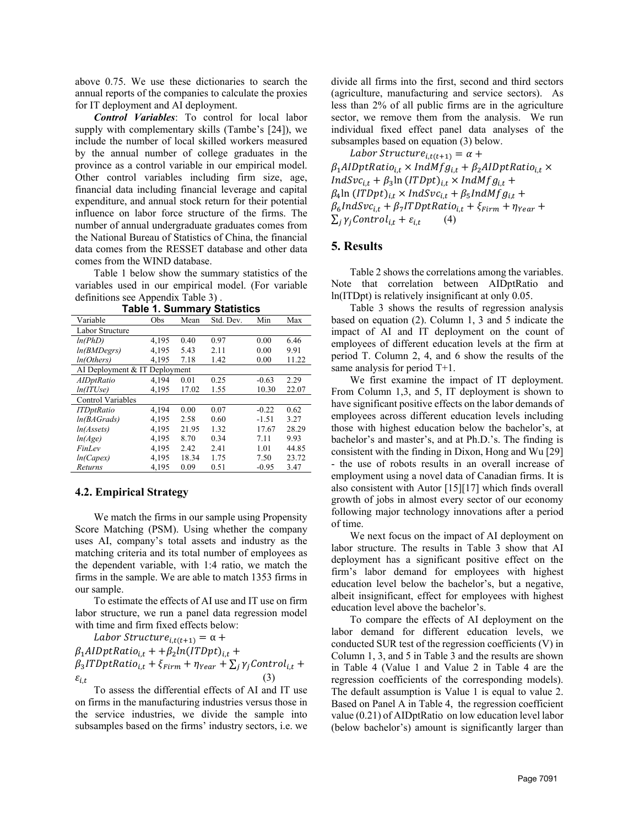above 0.75. We use these dictionaries to search the annual reports of the companies to calculate the proxies for IT deployment and AI deployment.

*Control Variables*: To control for local labor supply with complementary skills (Tambe's [24]), we include the number of local skilled workers measured by the annual number of college graduates in the province as a control variable in our empirical model. Other control variables including firm size, age, financial data including financial leverage and capital expenditure, and annual stock return for their potential influence on labor force structure of the firms. The number of annual undergraduate graduates comes from the National Bureau of Statistics of China, the financial data comes from the RESSET database and other data comes from the WIND database.

Table 1 below show the summary statistics of the variables used in our empirical model. (For variable definitions see Appendix Table 3) .

| Variable                      | Obs   | Mean  | Std. Dev. | Min     | Max   |
|-------------------------------|-------|-------|-----------|---------|-------|
| Labor Structure               |       |       |           |         |       |
| ln(PhD)                       | 4.195 | 0.40  | 0.97      | 0.00    | 6.46  |
| <i>ln(BMDegrs)</i>            | 4.195 | 5.43  | 2.11      | 0.00    | 9.91  |
| ln(Others)                    | 4,195 | 7.18  | 1.42      | 0.00    | 11.22 |
| AI Deployment & IT Deployment |       |       |           |         |       |
| AIDptRatio                    | 4.194 | 0.01  | 0.25      | $-0.63$ | 2.29  |
| ln(TUse)                      | 4.195 | 17.02 | 1.55      | 10.30   | 22.07 |
| Control Variables             |       |       |           |         |       |
| <b>ITDptRatio</b>             | 4.194 | 0.00  | 0.07      | $-0.22$ | 0.62  |
| ln(BAGrads)                   | 4.195 | 2.58  | 0.60      | $-1.51$ | 3.27  |
| ln(Assets)                    | 4.195 | 21.95 | 1.32      | 17.67   | 28.29 |
| ln(Age)                       | 4.195 | 8.70  | 0.34      | 7.11    | 9.93  |
| FinLev                        | 4.195 | 2.42  | 2.41      | 1.01    | 44.85 |
| ln(Capex)                     | 4.195 | 18.34 | 1.75      | 7.50    | 23.72 |
| Returns                       | 4,195 | 0.09  | 0.51      | $-0.95$ | 3.47  |

**Table 1. Summary Statistics**

#### **4.2. Empirical Strategy**

We match the firms in our sample using Propensity Score Matching (PSM). Using whether the company uses AI, company's total assets and industry as the matching criteria and its total number of employees as the dependent variable, with 1:4 ratio, we match the firms in the sample. We are able to match 1353 firms in our sample.

To estimate the effects of AI use and IT use on firm labor structure, we run a panel data regression model with time and firm fixed effects below:

Labor Structure<sub>i,t(t+1)</sub> =  $\alpha$  +  $\beta_1$ AIDptRatio<sub>it</sub> + + $\beta_2$ ln(ITDpt)<sub>it</sub> +  $\beta_3$ ITDptRatio<sub>i,t</sub> +  $\xi$ <sub>Firm</sub> +  $\eta$ <sub>Year</sub> +  $\sum_j \gamma_j$ Control<sub>i,t</sub> +  $\varepsilon_{i,t}$  (3)

To assess the differential effects of AI and IT use on firms in the manufacturing industries versus those in the service industries, we divide the sample into subsamples based on the firms' industry sectors, i.e. we divide all firms into the first, second and third sectors (agriculture, manufacturing and service sectors). As less than 2% of all public firms are in the agriculture sector, we remove them from the analysis. We run individual fixed effect panel data analyses of the subsamples based on equation (3) below.

Labor Structure<sub>i,t(t+1)</sub> =  $\alpha$  +  $\beta_1$ AIDptRatio<sub>i,t</sub> × IndMfg<sub>i,t</sub> +  $\beta_2$ AIDptRatio<sub>i,t</sub> ×  $IndSvc_{i,t} + \beta_3 \ln (ITDpt)_{i,t} \times IndMfg_{i,t} +$  $\beta_4$ ln  $(ITDpt)_{i,t} \times IndSvc_{i,t} + \beta_5 IndMfg_{i,t} +$  $\beta_6$ IndSvc<sub>i,t</sub> +  $\beta_7$ ITDptRatio<sub>i,t</sub> +  $\xi$ <sub>Firm</sub> +  $\eta$ <sub>Year</sub> +  $\sum_i \gamma_i$ Control<sub>it</sub> +  $\varepsilon_{i,t}$  (4)

#### **5. Results**

Table 2 shows the correlations among the variables. Note that correlation between AIDptRatio and ln(ITDpt) is relatively insignificant at only 0.05.

Table 3 shows the results of regression analysis based on equation (2). Column 1, 3 and 5 indicate the impact of AI and IT deployment on the count of employees of different education levels at the firm at period T. Column 2, 4, and 6 show the results of the same analysis for period T+1.

We first examine the impact of IT deployment. From Column 1,3, and 5, IT deployment is shown to have significant positive effects on the labor demands of employees across different education levels including those with highest education below the bachelor's, at bachelor's and master's, and at Ph.D.'s. The finding is consistent with the finding in Dixon, Hong and Wu [29] - the use of robots results in an overall increase of employment using a novel data of Canadian firms. It is also consistent with Autor [15][17] which finds overall growth of jobs in almost every sector of our economy following major technology innovations after a period of time.

We next focus on the impact of AI deployment on labor structure. The results in Table 3 show that AI deployment has a significant positive effect on the firm's labor demand for employees with highest education level below the bachelor's, but a negative, albeit insignificant, effect for employees with highest education level above the bachelor's.

To compare the effects of AI deployment on the labor demand for different education levels, we conducted SUR test of the regression coefficients (V) in Column 1, 3, and 5 in Table 3 and the results are shown in Table 4 (Value 1 and Value 2 in Table 4 are the regression coefficients of the corresponding models). The default assumption is Value 1 is equal to value 2. Based on Panel A in Table 4, the regression coefficient value (0.21) of AIDptRatio on low education level labor (below bachelor's) amount is significantly larger than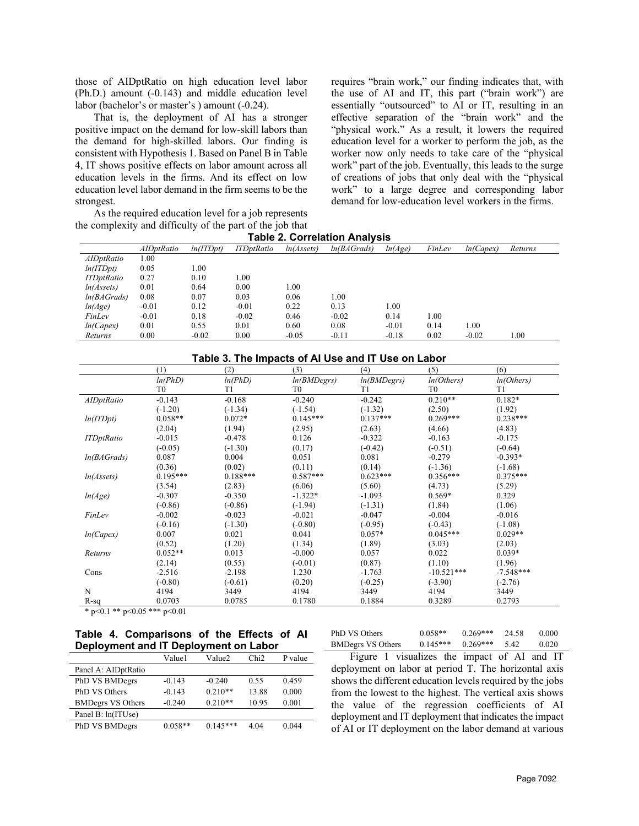those of AIDptRatio on high education level labor (Ph.D.) amount (-0.143) and middle education level labor (bachelor's or master's ) amount (-0.24).

That is, the deployment of AI has a stronger positive impact on the demand for low-skill labors than the demand for high-skilled labors. Our finding is consistent with Hypothesis 1. Based on Panel B in Table 4, IT shows positive effects on labor amount across all education levels in the firms. And its effect on low education level labor demand in the firm seems to be the strongest.

As the required education level for a job represents the complexity and difficulty of the part of the job that requires "brain work," our finding indicates that, with the use of AI and IT, this part ("brain work") are essentially "outsourced" to AI or IT, resulting in an effective separation of the "brain work" and the "physical work." As a result, it lowers the required education level for a worker to perform the job, as the worker now only needs to take care of the "physical work" part of the job. Eventually, this leads to the surge of creations of jobs that only deal with the "physical work" to a large degree and corresponding labor demand for low-education level workers in the firms.

| <b>Table 2. Correlation Analysis</b> |                   |          |                    |                         |             |         |        |           |         |
|--------------------------------------|-------------------|----------|--------------------|-------------------------|-------------|---------|--------|-----------|---------|
|                                      | <i>AIDptRatio</i> | ln(TDot) | <b>ITD</b> ptRatio | ln(A <sub>s</sub> sets) | ln(BAGrads) | ln(Age) | FinLev | ln(Capex) | Returns |
| AIDptRatio                           | 1.00              |          |                    |                         |             |         |        |           |         |
| ln(TDpt)                             | 0.05              | 1.00     |                    |                         |             |         |        |           |         |
| <b>ITDptRatio</b>                    | 0.27              | 0.10     | 1.00               |                         |             |         |        |           |         |
| ln(A <sub>s</sub> sets)              | 0.01              | 0.64     | 0.00               | 0.01                    |             |         |        |           |         |
| ln(BAGrads)                          | 0.08              | 0.07     | 0.03               | 0.06                    | 1.00        |         |        |           |         |
| ln(Age)                              | $-0.01$           | 0.12     | $-0.01$            | 0.22                    | 0.13        | 1.00    |        |           |         |
| FinLev                               | $-0.01$           | 0.18     | $-0.02$            | 0.46                    | $-0.02$     | 0.14    | 1.00   |           |         |
| ln(Capex)                            | 0.01              | 0.55     | 0.01               | 0.60                    | 0.08        | $-0.01$ | 0.14   | 00.1      |         |

*Returns* 0.00 -0.02 0.00 -0.05 -0.11 -0.18 0.02 -0.02 1.00

|                         | (1)            | (2)        | (3)         | (4)            | (5)            | (6)         |
|-------------------------|----------------|------------|-------------|----------------|----------------|-------------|
|                         | ln(PhD)        | ln(PhD)    | ln(BMDegrs) | ln(BMDegrs)    | ln(Others)     | ln(Others)  |
|                         | T <sub>0</sub> | T1         | T0          | T <sub>1</sub> | T <sub>0</sub> | T1          |
| <b>AIDptRatio</b>       | $-0.143$       | $-0.168$   | $-0.240$    | $-0.242$       | $0.210**$      | $0.182*$    |
|                         | $(-1.20)$      | $(-1.34)$  | $(-1.54)$   | $(-1.32)$      | (2.50)         | (1.92)      |
| ln(TDpt)                | $0.058**$      | $0.072*$   | $0.145***$  | $0.137***$     | $0.269***$     | $0.238***$  |
|                         | (2.04)         | (1.94)     | (2.95)      | (2.63)         | (4.66)         | (4.83)      |
| <b>ITDptRatio</b>       | $-0.015$       | $-0.478$   | 0.126       | $-0.322$       | $-0.163$       | $-0.175$    |
|                         | $(-0.05)$      | $(-1.30)$  | (0.17)      | $(-0.42)$      | $(-0.51)$      | $(-0.64)$   |
| ln(BAGrads)             | 0.087          | 0.004      | 0.051       | 0.081          | $-0.279$       | $-0.393*$   |
|                         | (0.36)         | (0.02)     | (0.11)      | (0.14)         | $(-1.36)$      | $(-1.68)$   |
| ln(A <sub>s</sub> sets) | $0.195***$     | $0.188***$ | $0.587***$  | $0.623***$     | $0.356***$     | $0.375***$  |
|                         | (3.54)         | (2.83)     | (6.06)      | (5.60)         | (4.73)         | (5.29)      |
| ln(Age)                 | $-0.307$       | $-0.350$   | $-1.322*$   | $-1.093$       | $0.569*$       | 0.329       |
|                         | $(-0.86)$      | $(-0.86)$  | $(-1.94)$   | $(-1.31)$      | (1.84)         | (1.06)      |
| FinLev                  | $-0.002$       | $-0.023$   | $-0.021$    | $-0.047$       | $-0.004$       | $-0.016$    |
|                         | $(-0.16)$      | $(-1.30)$  | $(-0.80)$   | $(-0.95)$      | $(-0.43)$      | $(-1.08)$   |
| ln(Capex)               | 0.007          | 0.021      | 0.041       | $0.057*$       | $0.045***$     | $0.029**$   |
|                         | (0.52)         | (1.20)     | (1.34)      | (1.89)         | (3.03)         | (2.03)      |
| Returns                 | $0.052**$      | 0.013      | $-0.000$    | 0.057          | 0.022          | $0.039*$    |
|                         | (2.14)         | (0.55)     | $(-0.01)$   | (0.87)         | (1.10)         | (1.96)      |
| Cons                    | $-2.516$       | $-2.198$   | 1.230       | $-1.763$       | $-10.521***$   | $-7.548***$ |
|                         | $(-0.80)$      | $(-0.61)$  | (0.20)      | $(-0.25)$      | $(-3.90)$      | $(-2.76)$   |
| N                       | 4194           | 3449       | 4194        | 3449           | 4194           | 3449        |
| $R-sq$                  | 0.0703         | 0.0785     | 0.1780      | 0.1884         | 0.3289         | 0.2793      |

#### **Table 4. Comparisons of the Effects of AI Deployment and IT Deployment on Labor**

|                          | Value1    | Value2     | Chi2  | P value |
|--------------------------|-----------|------------|-------|---------|
| Panel A: AIDptRatio      |           |            |       |         |
| PhD VS BMDegrs           | $-0.143$  | $-0.240$   | 0.55  | 0.459   |
| PhD VS Others            | $-0.143$  | $0.210**$  | 13.88 | 0.000   |
| <b>BMDegrs VS Others</b> | $-0.240$  | $0.210**$  | 10.95 | 0.001   |
| Panel B: ln(ITUse)       |           |            |       |         |
| PhD VS BMDegrs           | $0.058**$ | $0.145***$ | 4.04  | 0.044   |
|                          |           |            |       |         |

PhD VS Others 0.058\*\* 0.269\*\*\* 24.58 0.000 BMDegrs VS Others 0.145\*\*\* 0.269\*\*\* 5.42 0.020

Figure 1 visualizes the impact of AI and IT deployment on labor at period T. The horizontal axis shows the different education levels required by the jobs from the lowest to the highest. The vertical axis shows the value of the regression coefficients of AI deployment and IT deployment that indicates the impact of AI or IT deployment on the labor demand at various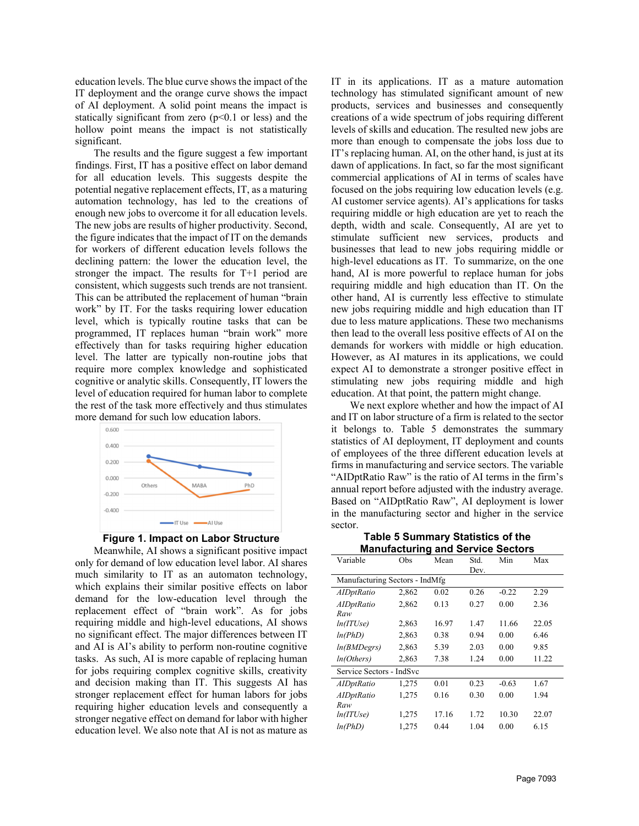education levels. The blue curve shows the impact of the IT deployment and the orange curve shows the impact of AI deployment. A solid point means the impact is statically significant from zero  $(p<0.1$  or less) and the hollow point means the impact is not statistically significant.

The results and the figure suggest a few important findings. First, IT has a positive effect on labor demand for all education levels. This suggests despite the potential negative replacement effects, IT, as a maturing automation technology, has led to the creations of enough new jobs to overcome it for all education levels. The new jobs are results of higher productivity. Second, the figure indicates that the impact of IT on the demands for workers of different education levels follows the declining pattern: the lower the education level, the stronger the impact. The results for T+1 period are consistent, which suggests such trends are not transient. This can be attributed the replacement of human "brain work" by IT. For the tasks requiring lower education level, which is typically routine tasks that can be programmed, IT replaces human "brain work" more effectively than for tasks requiring higher education level. The latter are typically non-routine jobs that require more complex knowledge and sophisticated cognitive or analytic skills. Consequently, IT lowers the level of education required for human labor to complete the rest of the task more effectively and thus stimulates more demand for such low education labors.





Meanwhile, AI shows a significant positive impact only for demand of low education level labor. AI shares much similarity to IT as an automaton technology, which explains their similar positive effects on labor demand for the low-education level through the replacement effect of "brain work". As for jobs requiring middle and high-level educations, AI shows no significant effect. The major differences between IT and AI is AI's ability to perform non-routine cognitive tasks. As such, AI is more capable of replacing human for jobs requiring complex cognitive skills, creativity and decision making than IT. This suggests AI has stronger replacement effect for human labors for jobs requiring higher education levels and consequently a stronger negative effect on demand for labor with higher education level. We also note that AI is not as mature as

IT in its applications. IT as a mature automation technology has stimulated significant amount of new products, services and businesses and consequently creations of a wide spectrum of jobs requiring different levels of skills and education. The resulted new jobs are more than enough to compensate the jobs loss due to IT's replacing human. AI, on the other hand, is just at its dawn of applications. In fact, so far the most significant commercial applications of AI in terms of scales have focused on the jobs requiring low education levels (e.g. AI customer service agents). AI's applications for tasks requiring middle or high education are yet to reach the depth, width and scale. Consequently, AI are yet to stimulate sufficient new services, products and businesses that lead to new jobs requiring middle or high-level educations as IT. To summarize, on the one hand, AI is more powerful to replace human for jobs requiring middle and high education than IT. On the other hand, AI is currently less effective to stimulate new jobs requiring middle and high education than IT due to less mature applications. These two mechanisms then lead to the overall less positive effects of AI on the demands for workers with middle or high education. However, as AI matures in its applications, we could expect AI to demonstrate a stronger positive effect in stimulating new jobs requiring middle and high education. At that point, the pattern might change.

We next explore whether and how the impact of AI and IT on labor structure of a firm is related to the sector it belongs to. Table 5 demonstrates the summary statistics of AI deployment, IT deployment and counts of employees of the three different education levels at firms in manufacturing and service sectors. The variable "AIDptRatio Raw" is the ratio of AI terms in the firm's annual report before adjusted with the industry average. Based on "AIDptRatio Raw", AI deployment is lower in the manufacturing sector and higher in the service sector.

**Table 5 Summary Statistics of the Manufacturing and Service Sectors**

| Variable                       | Obs   | Mean  | Std. | Min     | Max   |
|--------------------------------|-------|-------|------|---------|-------|
|                                |       |       | Dev. |         |       |
| Manufacturing Sectors - IndMfg |       |       |      |         |       |
| <b>AIDptRatio</b>              | 2,862 | 0.02  | 0.26 | $-0.22$ | 2.29  |
| AIDptRatio                     | 2,862 | 0.13  | 0.27 | 0.00    | 2.36  |
| Raw                            |       |       |      |         |       |
| ln(TUse)                       | 2,863 | 16.97 | 1.47 | 11.66   | 22.05 |
| ln(PhD)                        | 2,863 | 0.38  | 0.94 | 0.00    | 6.46  |
| ln(BMDegrs)                    | 2,863 | 5.39  | 2.03 | 0.00    | 9.85  |
| ln(Others)                     | 2,863 | 7.38  | 1.24 | 0.00    | 11.22 |
| Service Sectors - IndSvc       |       |       |      |         |       |
| <b>AIDptRatio</b>              | 1,275 | 0.01  | 0.23 | $-0.63$ | 1.67  |
| AIDptRatio                     | 1,275 | 0.16  | 0.30 | 0.00    | 1.94  |
| Raw                            |       |       |      |         |       |
| ln(TUse)                       | 1,275 | 17.16 | 1.72 | 10.30   | 22.07 |
| ln(PhD)                        | 1,275 | 0.44  | 1.04 | 0.00    | 6.15  |
|                                |       |       |      |         |       |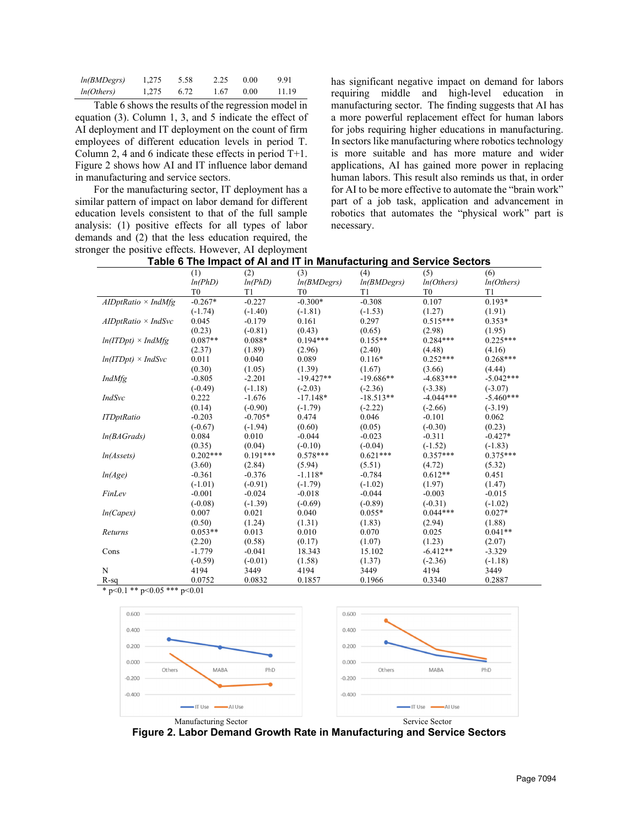| ln(BMDegrs) | 1.275 | 5.58 | 2.25 | 0.00 | 9.91  |
|-------------|-------|------|------|------|-------|
| ln(Others)  | 1.275 | 6.72 | 1.67 | 0.00 | 11.19 |

Table 6 shows the results of the regression model in equation (3). Column 1, 3, and 5 indicate the effect of AI deployment and IT deployment on the count of firm employees of different education levels in period T. Column 2, 4 and 6 indicate these effects in period T+1. Figure 2 shows how AI and IT influence labor demand in manufacturing and service sectors.

For the manufacturing sector, IT deployment has a similar pattern of impact on labor demand for different education levels consistent to that of the full sample analysis: (1) positive effects for all types of labor demands and (2) that the less education required, the stronger the positive effects. However, AI deployment

has significant negative impact on demand for labors requiring middle and high-level education in manufacturing sector. The finding suggests that AI has a more powerful replacement effect for human labors for jobs requiring higher educations in manufacturing. In sectors like manufacturing where robotics technology is more suitable and has more mature and wider applications, AI has gained more power in replacing human labors. This result also reminds us that, in order for AI to be more effective to automate the "brain work" part of a job task, application and advancement in robotics that automates the "physical work" part is necessary.

|                            | (1)            | (2)            | (3)            | (4)         | (5)            | (6)            |
|----------------------------|----------------|----------------|----------------|-------------|----------------|----------------|
|                            | ln(PhD)        | ln(PhD)        | ln(BMDegrs)    | ln(BMDegrs) | ln(Others)     | ln(Others)     |
|                            | T <sub>0</sub> | T <sub>1</sub> | T <sub>0</sub> | T1          | T <sub>0</sub> | T <sub>1</sub> |
| $AIDptRatio \times IndMfg$ | $-0.267*$      | $-0.227$       | $-0.300*$      | $-0.308$    | 0.107          | $0.193*$       |
|                            | $(-1.74)$      | $(-1.40)$      | $(-1.81)$      | $(-1.53)$   | (1.27)         | (1.91)         |
| $AIDptRatio \times IndSvc$ | 0.045          | $-0.179$       | 0.161          | 0.297       | $0.515***$     | $0.353*$       |
|                            | (0.23)         | $(-0.81)$      | (0.43)         | (0.65)      | (2.98)         | (1.95)         |
| $ln(TDpt) \times IndMfg$   | $0.087**$      | $0.088*$       | $0.194***$     | $0.155**$   | $0.284***$     | $0.225***$     |
|                            | (2.37)         | (1.89)         | (2.96)         | (2.40)      | (4.48)         | (4.16)         |
| $ln(TDpt) \times IndSvc$   | 0.011          | 0.040          | 0.089          | $0.116*$    | $0.252***$     | $0.268***$     |
|                            | (0.30)         | (1.05)         | (1.39)         | (1.67)      | (3.66)         | (4.44)         |
| IndMfg                     | $-0.805$       | $-2.201$       | $-19.427**$    | $-19.686**$ | $-4.683***$    | $-5.042***$    |
|                            | $(-0.49)$      | $(-1.18)$      | $(-2.03)$      | $(-2.36)$   | $(-3.38)$      | $(-3.07)$      |
| IndSvc                     | 0.222          | $-1.676$       | $-17.148*$     | $-18.513**$ | $-4.044***$    | $-5.460***$    |
|                            | (0.14)         | $(-0.90)$      | $(-1.79)$      | $(-2.22)$   | $(-2.66)$      | $(-3.19)$      |
| <b>ITDptRatio</b>          | $-0.203$       | $-0.705*$      | 0.474          | 0.046       | $-0.101$       | 0.062          |
|                            | $(-0.67)$      | $(-1.94)$      | (0.60)         | (0.05)      | $(-0.30)$      | (0.23)         |
| ln(BAGrads)                | 0.084          | 0.010          | $-0.044$       | $-0.023$    | $-0.311$       | $-0.427*$      |
|                            | (0.35)         | (0.04)         | $(-0.10)$      | $(-0.04)$   | $(-1.52)$      | $(-1.83)$      |
| ln(A <sub>s</sub> sets)    | $0.202***$     | $0.191***$     | $0.578***$     | $0.621***$  | $0.357***$     | $0.375***$     |
|                            | (3.60)         | (2.84)         | (5.94)         | (5.51)      | (4.72)         | (5.32)         |
| ln(Age)                    | $-0.361$       | $-0.376$       | $-1.118*$      | $-0.784$    | $0.612**$      | 0.451          |
|                            | $(-1.01)$      | $(-0.91)$      | $(-1.79)$      | $(-1.02)$   | (1.97)         | (1.47)         |
| FinLev                     | $-0.001$       | $-0.024$       | $-0.018$       | $-0.044$    | $-0.003$       | $-0.015$       |
|                            | $(-0.08)$      | $(-1.39)$      | $(-0.69)$      | $(-0.89)$   | $(-0.31)$      | $(-1.02)$      |
| ln(Capex)                  | 0.007          | 0.021          | 0.040          | $0.055*$    | $0.044***$     | $0.027*$       |
|                            | (0.50)         | (1.24)         | (1.31)         | (1.83)      | (2.94)         | (1.88)         |
| Returns                    | $0.053**$      | 0.013          | 0.010          | 0.070       | 0.025          | $0.041**$      |
|                            | (2.20)         | (0.58)         | (0.17)         | (1.07)      | (1.23)         | (2.07)         |
| Cons                       | $-1.779$       | $-0.041$       | 18.343         | 15.102      | $-6.412**$     | $-3.329$       |
|                            | $(-0.59)$      | $(-0.01)$      | (1.58)         | (1.37)      | $(-2.36)$      | $(-1.18)$      |
| N                          | 4194           | 3449           | 4194           | 3449        | 4194           | 3449           |
| $R-sq$                     | 0.0752         | 0.0832         | 0.1857         | 0.1966      | 0.3340         | 0.2887         |

**Table 6 The Impact of AI and IT in Manufacturing and Service Sectors** 

 $*$  p<0.1 \*\* p<0.05 \*\*\* p<0.01



**Figure 2. Labor Demand Growth Rate in Manufacturing and Service Sectors**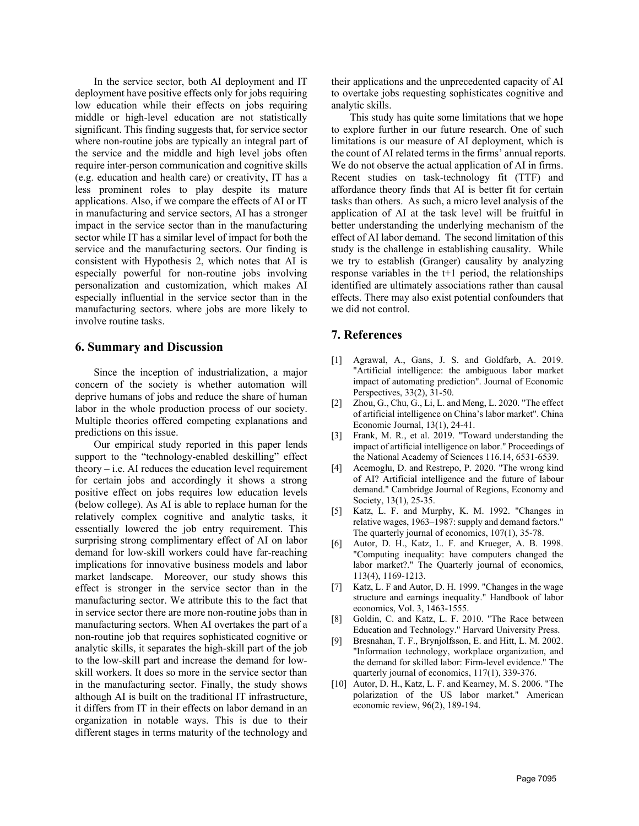In the service sector, both AI deployment and IT deployment have positive effects only for jobs requiring low education while their effects on jobs requiring middle or high-level education are not statistically significant. This finding suggests that, for service sector where non-routine jobs are typically an integral part of the service and the middle and high level jobs often require inter-person communication and cognitive skills (e.g. education and health care) or creativity, IT has a less prominent roles to play despite its mature applications. Also, if we compare the effects of AI or IT in manufacturing and service sectors, AI has a stronger impact in the service sector than in the manufacturing sector while IT has a similar level of impact for both the service and the manufacturing sectors. Our finding is consistent with Hypothesis 2, which notes that AI is especially powerful for non-routine jobs involving personalization and customization, which makes AI especially influential in the service sector than in the manufacturing sectors. where jobs are more likely to involve routine tasks.

#### **6. Summary and Discussion**

Since the inception of industrialization, a major concern of the society is whether automation will deprive humans of jobs and reduce the share of human labor in the whole production process of our society. Multiple theories offered competing explanations and predictions on this issue.

Our empirical study reported in this paper lends support to the "technology-enabled deskilling" effect theory  $-$  i.e. AI reduces the education level requirement for certain jobs and accordingly it shows a strong positive effect on jobs requires low education levels (below college). As AI is able to replace human for the relatively complex cognitive and analytic tasks, it essentially lowered the job entry requirement. This surprising strong complimentary effect of AI on labor demand for low-skill workers could have far-reaching implications for innovative business models and labor market landscape. Moreover, our study shows this effect is stronger in the service sector than in the manufacturing sector. We attribute this to the fact that in service sector there are more non-routine jobs than in manufacturing sectors. When AI overtakes the part of a non-routine job that requires sophisticated cognitive or analytic skills, it separates the high-skill part of the job to the low-skill part and increase the demand for lowskill workers. It does so more in the service sector than in the manufacturing sector. Finally, the study shows although AI is built on the traditional IT infrastructure, it differs from IT in their effects on labor demand in an organization in notable ways. This is due to their different stages in terms maturity of the technology and

their applications and the unprecedented capacity of AI to overtake jobs requesting sophisticates cognitive and analytic skills.

This study has quite some limitations that we hope to explore further in our future research. One of such limitations is our measure of AI deployment, which is the count of AI related terms in the firms' annual reports. We do not observe the actual application of AI in firms. Recent studies on task-technology fit (TTF) and affordance theory finds that AI is better fit for certain tasks than others. As such, a micro level analysis of the application of AI at the task level will be fruitful in better understanding the underlying mechanism of the effect of AI labor demand. The second limitation of this study is the challenge in establishing causality. While we try to establish (Granger) causality by analyzing response variables in the t+1 period, the relationships identified are ultimately associations rather than causal effects. There may also exist potential confounders that we did not control.

### **7. References**

- [1] Agrawal, A., Gans, J. S. and Goldfarb, A. 2019. "Artificial intelligence: the ambiguous labor market impact of automating prediction". Journal of Economic Perspectives, 33(2), 31-50.
- [2] Zhou, G., Chu, G., Li, L. and Meng, L. 2020. "The effect of artificial intelligence on China's labor market". China Economic Journal, 13(1), 24-41.
- [3] Frank, M. R., et al. 2019. "Toward understanding the impact of artificial intelligence on labor." Proceedings of the National Academy of Sciences 116.14, 6531-6539.
- [4] Acemoglu, D. and Restrepo, P. 2020. "The wrong kind of AI? Artificial intelligence and the future of labour demand." Cambridge Journal of Regions, Economy and Society, 13(1), 25-35.
- [5] Katz, L. F. and Murphy, K. M. 1992. "Changes in relative wages, 1963–1987: supply and demand factors." The quarterly journal of economics, 107(1), 35-78.
- [6] Autor, D. H., Katz, L. F. and Krueger, A. B. 1998. "Computing inequality: have computers changed the labor market?." The Quarterly journal of economics, 113(4), 1169-1213.
- [7] Katz, L. F and Autor, D. H. 1999. "Changes in the wage structure and earnings inequality." Handbook of labor economics, Vol. 3, 1463-1555.
- [8] Goldin, C. and Katz, L. F. 2010. "The Race between Education and Technology." Harvard University Press.
- [9] Bresnahan, T. F., Brynjolfsson, E. and Hitt, L. M. 2002. "Information technology, workplace organization, and the demand for skilled labor: Firm-level evidence." The quarterly journal of economics, 117(1), 339-376.
- [10] Autor, D. H., Katz, L. F. and Kearney, M. S. 2006. "The polarization of the US labor market." American economic review, 96(2), 189-194.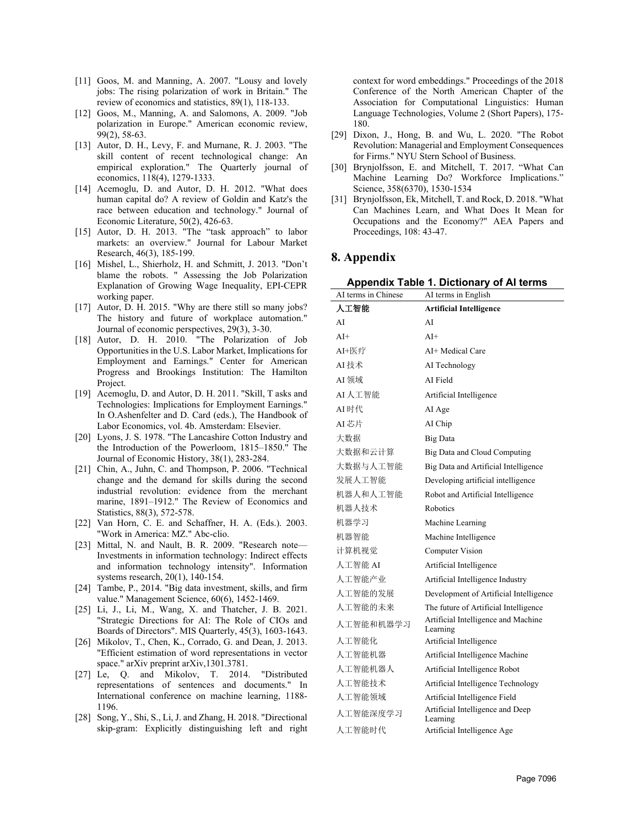- [11] Goos, M. and Manning, A. 2007. "Lousy and lovely jobs: The rising polarization of work in Britain." The review of economics and statistics, 89(1), 118-133.
- [12] Goos, M., Manning, A. and Salomons, A. 2009. "Job polarization in Europe." American economic review, 99(2), 58-63.
- [13] Autor, D. H., Levy, F. and Murnane, R. J. 2003. "The skill content of recent technological change: An empirical exploration." The Quarterly journal of economics, 118(4), 1279-1333.
- [14] Acemoglu, D. and Autor, D. H. 2012. "What does human capital do? A review of Goldin and Katz's the race between education and technology." Journal of Economic Literature, 50(2), 426-63.
- [15] Autor, D. H. 2013. "The "task approach" to labor markets: an overview." Journal for Labour Market Research, 46(3), 185-199.
- [16] Mishel, L., Shierholz, H. and Schmitt, J. 2013. "Don't blame the robots. " Assessing the Job Polarization Explanation of Growing Wage Inequality, EPI-CEPR working paper.
- [17] Autor, D. H. 2015. "Why are there still so many jobs? The history and future of workplace automation." Journal of economic perspectives, 29(3), 3-30.
- [18] Autor, D. H. 2010. "The Polarization of Job Opportunities in the U.S. Labor Market, Implications for Employment and Earnings." Center for American Progress and Brookings Institution: The Hamilton Project.
- [19] Acemoglu, D. and Autor, D. H. 2011. "Skill, T asks and Technologies: Implications for Employment Earnings." In O.Ashenfelter and D. Card (eds.), The Handbook of Labor Economics, vol. 4b. Amsterdam: Elsevier.
- [20] Lyons, J. S. 1978. "The Lancashire Cotton Industry and the Introduction of the Powerloom, 1815–1850." The Journal of Economic History, 38(1), 283-284.
- [21] Chin, A., Juhn, C. and Thompson, P. 2006. "Technical change and the demand for skills during the second industrial revolution: evidence from the merchant marine, 1891–1912." The Review of Economics and Statistics, 88(3), 572-578.
- [22] Van Horn, C. E. and Schaffner, H. A. (Eds.). 2003. "Work in America: MZ." Abc-clio.
- [23] Mittal, N. and Nault, B. R. 2009. "Research note-Investments in information technology: Indirect effects and information technology intensity". Information systems research, 20(1), 140-154.
- [24] Tambe, P., 2014. "Big data investment, skills, and firm value." Management Science, 60(6), 1452-1469.
- [25] Li, J., Li, M., Wang, X. and Thatcher, J. B. 2021. "Strategic Directions for AI: The Role of CIOs and Boards of Directors". MIS Quarterly, 45(3), 1603-1643.
- [26] Mikolov, T., Chen, K., Corrado, G. and Dean, J. 2013. "Efficient estimation of word representations in vector space." arXiv preprint arXiv,1301.3781.
- [27] Le, Q. and Mikolov, T. 2014. "Distributed representations of sentences and documents." In International conference on machine learning, 1188- 1196.
- [28] Song, Y., Shi, S., Li, J. and Zhang, H. 2018. "Directional skip-gram: Explicitly distinguishing left and right

context for word embeddings." Proceedings of the 2018 Conference of the North American Chapter of the Association for Computational Linguistics: Human Language Technologies, Volume 2 (Short Papers), 175- 180.

- [29] Dixon, J., Hong, B. and Wu, L. 2020. "The Robot Revolution: Managerial and Employment Consequences for Firms." NYU Stern School of Business.
- [30] Brynjolfsson, E. and Mitchell, T. 2017. "What Can Machine Learning Do? Workforce Implications." Science, 358(6370), 1530-1534
- [31] Brynjolfsson, Ek, Mitchell, T. and Rock, D. 2018. "What Can Machines Learn, and What Does It Mean for Occupations and the Economy?" AEA Papers and Proceedings, 108: 43-47.

#### **8. Appendix**

**Appendix Table 1. Dictionary of AI terms** 

| AI terms in Chinese | AI terms in English                             |
|---------------------|-------------------------------------------------|
| 人工智能                | <b>Artificial Intelligence</b>                  |
| AI                  | AI                                              |
| $A I +$             | $A I +$                                         |
| AI+医疗               | AI+ Medical Care                                |
| AI技术                | AI Technology                                   |
| AI 领域               | AI Field                                        |
| AI 人工智能             | Artificial Intelligence                         |
| AI时代                | AI Age                                          |
| AI芯片                | AI Chip                                         |
| 大数据                 | Big Data                                        |
| 大数据和云计算             | Big Data and Cloud Computing                    |
| 大数据与人工智能            | Big Data and Artificial Intelligence            |
| 发展人工智能              | Developing artificial intelligence              |
| 机器人和人工智能            | Robot and Artificial Intelligence               |
| 机器人技术               | Robotics                                        |
| 机器学习                | Machine Learning                                |
| 机器智能                | Machine Intelligence                            |
| 计算机视觉               | Computer Vision                                 |
| 人工智能 AI             | Artificial Intelligence                         |
| 人工智能产业              | Artificial Intelligence Industry                |
| 人工智能的发展             | Development of Artificial Intelligence          |
| 人工智能的未来             | The future of Artificial Intelligence           |
| 人工智能和机器学习           | Artificial Intelligence and Machine<br>Learning |
| 人工智能化               | Artificial Intelligence                         |
| 人工智能机器              | Artificial Intelligence Machine                 |
| 人工智能机器人             | Artificial Intelligence Robot                   |
| 人工智能技术              | Artificial Intelligence Technology              |
| 人工智能领域              | Artificial Intelligence Field                   |
| 人工智能深度学习            | Artificial Intelligence and Deep<br>Learning    |
| 人工智能时代              | Artificial Intelligence Age                     |